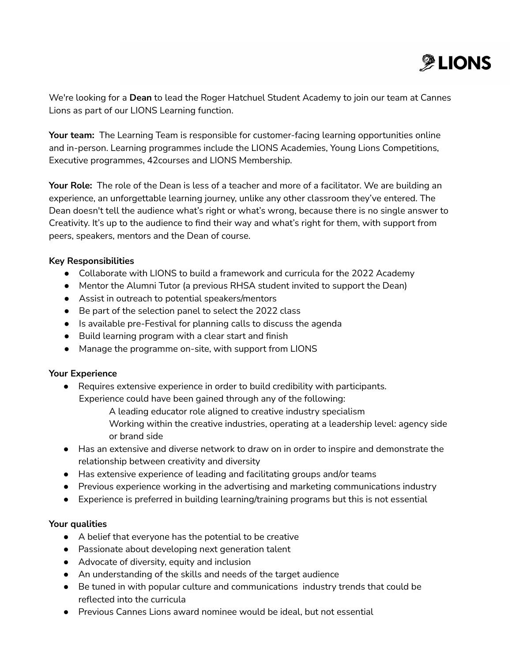

We're looking for a **Dean** to lead the Roger Hatchuel Student Academy to join our team at Cannes Lions as part of our LIONS Learning function.

**Your team:** The Learning Team is responsible for customer-facing learning opportunities online and in-person. Learning programmes include the LIONS Academies, Young Lions Competitions, Executive programmes, 42courses and LIONS Membership.

**Your Role:** The role of the Dean is less of a teacher and more of a facilitator. We are building an experience, an unforgettable learning journey, unlike any other classroom they've entered. The Dean doesn't tell the audience what's right or what's wrong, because there is no single answer to Creativity. It's up to the audience to find their way and what's right for them, with support from peers, speakers, mentors and the Dean of course.

# **Key Responsibilities**

- Collaborate with LIONS to build a framework and curricula for the 2022 Academy
- Mentor the Alumni Tutor (a previous RHSA student invited to support the Dean)
- Assist in outreach to potential speakers/mentors
- Be part of the selection panel to select the 2022 class
- Is available pre-Festival for planning calls to discuss the agenda
- Build learning program with a clear start and finish
- Manage the programme on-site, with support from LIONS

# **Your Experience**

- Requires extensive experience in order to build credibility with participants. Experience could have been gained through any of the following:
	- A leading educator role aligned to creative industry specialism
	- Working within the creative industries, operating at a leadership level: agency side or brand side
- Has an extensive and diverse network to draw on in order to inspire and demonstrate the relationship between creativity and diversity
- Has extensive experience of leading and facilitating groups and/or teams
- Previous experience working in the advertising and marketing communications industry
- Experience is preferred in building learning/training programs but this is not essential

# **Your qualities**

- A belief that everyone has the potential to be creative
- Passionate about developing next generation talent
- Advocate of diversity, equity and inclusion
- An understanding of the skills and needs of the target audience
- Be tuned in with popular culture and communications industry trends that could be reflected into the curricula
- Previous Cannes Lions award nominee would be ideal, but not essential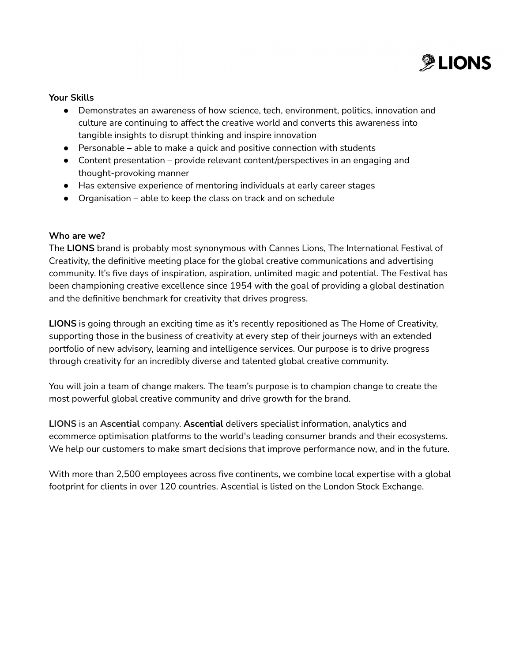

## **Your Skills**

- Demonstrates an awareness of how science, tech, environment, politics, innovation and culture are continuing to affect the creative world and converts this awareness into tangible insights to disrupt thinking and inspire innovation
- $\bullet$  Personable able to make a quick and positive connection with students
- Content presentation provide relevant content/perspectives in an engaging and thought-provoking manner
- Has extensive experience of mentoring individuals at early career stages
- $\bullet$  Organisation able to keep the class on track and on schedule

## **Who are we?**

The **LIONS** brand is probably most synonymous with Cannes Lions, The International Festival of Creativity, the definitive meeting place for the global creative communications and advertising community. It's five days of inspiration, aspiration, unlimited magic and potential. The Festival has been championing creative excellence since 1954 with the goal of providing a global destination and the definitive benchmark for creativity that drives progress.

**LIONS** is going through an exciting time as it's recently repositioned as The Home of Creativity, supporting those in the business of creativity at every step of their journeys with an extended portfolio of new advisory, learning and intelligence services. Our purpose is to drive progress through creativity for an incredibly diverse and talented global creative community.

You will join a team of change makers. The team's purpose is to champion change to create the most powerful global creative community and drive growth for the brand.

**LIONS** is an **Ascential** company. **Ascential** delivers specialist information, analytics and ecommerce optimisation platforms to the world's leading consumer brands and their ecosystems. We help our customers to make smart decisions that improve performance now, and in the future.

With more than 2,500 employees across five continents, we combine local expertise with a global footprint for clients in over 120 countries. Ascential is listed on the London Stock Exchange.